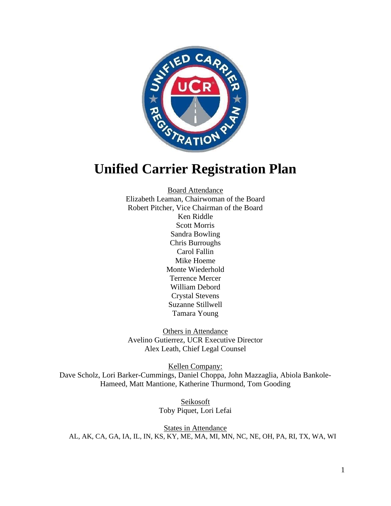

# **Unified Carrier Registration Plan**

Board Attendance Elizabeth Leaman, Chairwoman of the Board Robert Pitcher, Vice Chairman of the Board Ken Riddle Scott Morris Sandra Bowling Chris Burroughs Carol Fallin Mike Hoeme Monte Wiederhold Terrence Mercer William Debord Crystal Stevens Suzanne Stillwell Tamara Young

Others in Attendance Avelino Gutierrez, UCR Executive Director Alex Leath, Chief Legal Counsel

Kellen Company: Dave Scholz, Lori Barker-Cummings, Daniel Choppa, John Mazzaglia, Abiola Bankole-Hameed, Matt Mantione, Katherine Thurmond, Tom Gooding

> Seikosoft Toby Piquet, Lori Lefai

States in Attendance AL, AK, CA, GA, IA, IL, IN, KS, KY, ME, MA, MI, MN, NC, NE, OH, PA, RI, TX, WA, WI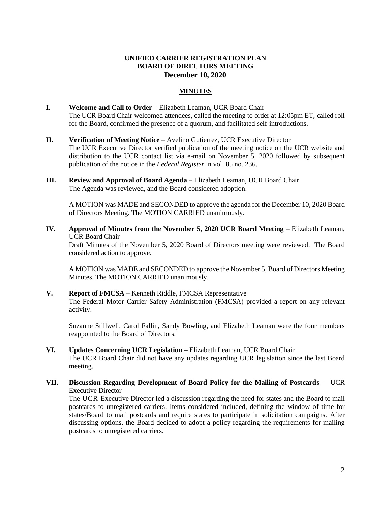## **UNIFIED CARRIER REGISTRATION PLAN BOARD OF DIRECTORS MEETING December 10, 2020**

## **MINUTES**

- **I. Welcome and Call to Order** Elizabeth Leaman, UCR Board Chair The UCR Board Chair welcomed attendees, called the meeting to order at 12:05pm ET, called roll for the Board, confirmed the presence of a quorum, and facilitated self-introductions.
- **II. Verification of Meeting Notice**  Avelino Gutierrez, UCR Executive Director The UCR Executive Director verified publication of the meeting notice on the UCR website and distribution to the UCR contact list via e-mail on November 5, 2020 followed by subsequent publication of the notice in the *Federal Register* in vol. 85 no. 236.
- **III. Review and Approval of Board Agenda** Elizabeth Leaman, UCR Board Chair The Agenda was reviewed, and the Board considered adoption.

A MOTION was MADE and SECONDED to approve the agenda for the December 10, 2020 Board of Directors Meeting. The MOTION CARRIED unanimously.

**IV. Approval of Minutes from the November 5, 2020 UCR Board Meeting** – Elizabeth Leaman, UCR Board Chair

Draft Minutes of the November 5, 2020 Board of Directors meeting were reviewed. The Board considered action to approve.

A MOTION was MADE and SECONDED to approve the November 5, Board of Directors Meeting Minutes. The MOTION CARRIED unanimously.

**V. Report of FMCSA** – Kenneth Riddle, FMCSA Representative The Federal Motor Carrier Safety Administration (FMCSA) provided a report on any relevant activity.

Suzanne Stillwell, Carol Fallin, Sandy Bowling, and Elizabeth Leaman were the four members reappointed to the Board of Directors.

- **VI. Updates Concerning UCR Legislation –** Elizabeth Leaman, UCR Board Chair The UCR Board Chair did not have any updates regarding UCR legislation since the last Board meeting.
- **VII. Discussion Regarding Development of Board Policy for the Mailing of Postcards** UCR Executive Director

The UCR Executive Director led a discussion regarding the need for states and the Board to mail postcards to unregistered carriers. Items considered included, defining the window of time for states/Board to mail postcards and require states to participate in solicitation campaigns. After discussing options, the Board decided to adopt a policy regarding the requirements for mailing postcards to unregistered carriers.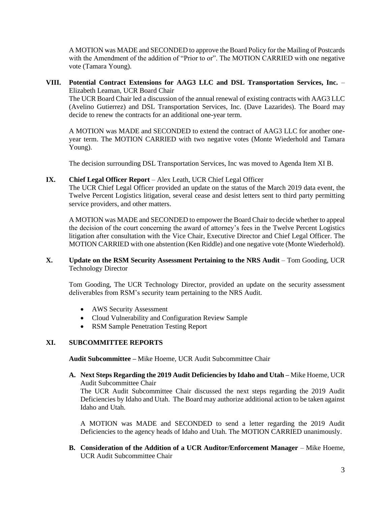A MOTION was MADE and SECONDED to approve the Board Policy for the Mailing of Postcards with the Amendment of the addition of "Prior to or". The MOTION CARRIED with one negative vote (Tamara Young).

#### **VIII. Potential Contract Extensions for AAG3 LLC and DSL Transportation Services, Inc.** – Elizabeth Leaman, UCR Board Chair

The UCR Board Chair led a discussion of the annual renewal of existing contracts with AAG3 LLC (Avelino Gutierrez) and DSL Transportation Services, Inc. (Dave Lazarides). The Board may decide to renew the contracts for an additional one-year term.

A MOTION was MADE and SECONDED to extend the contract of AAG3 LLC for another oneyear term. The MOTION CARRIED with two negative votes (Monte Wiederhold and Tamara Young).

The decision surrounding DSL Transportation Services, Inc was moved to Agenda Item XI B.

#### **IX. Chief Legal Officer Report** – Alex Leath, UCR Chief Legal Officer

The UCR Chief Legal Officer provided an update on the status of the March 2019 data event, the Twelve Percent Logistics litigation, several cease and desist letters sent to third party permitting service providers, and other matters.

A MOTION was MADE and SECONDED to empower the Board Chair to decide whether to appeal the decision of the court concerning the award of attorney's fees in the Twelve Percent Logistics litigation after consultation with the Vice Chair, Executive Director and Chief Legal Officer. The MOTION CARRIED with one abstention (Ken Riddle) and one negative vote (Monte Wiederhold).

#### **X. Update on the RSM Security Assessment Pertaining to the NRS Audit** – Tom Gooding, UCR Technology Director

Tom Gooding, The UCR Technology Director, provided an update on the security assessment deliverables from RSM's security team pertaining to the NRS Audit.

- AWS Security Assessment
- Cloud Vulnerability and Configuration Review Sample
- RSM Sample Penetration Testing Report

# **XI. SUBCOMMITTEE REPORTS**

**Audit Subcommittee –** Mike Hoeme, UCR Audit Subcommittee Chair

**A. Next Steps Regarding the 2019 Audit Deficiencies by Idaho and Utah –** Mike Hoeme, UCR Audit Subcommittee Chair

The UCR Audit Subcommittee Chair discussed the next steps regarding the 2019 Audit Deficiencies by Idaho and Utah. The Board may authorize additional action to be taken against Idaho and Utah.

A MOTION was MADE and SECONDED to send a letter regarding the 2019 Audit Deficiencies to the agency heads of Idaho and Utah. The MOTION CARRIED unanimously.

**B. Consideration of the Addition of a UCR Auditor/Enforcement Manager** – Mike Hoeme, UCR Audit Subcommittee Chair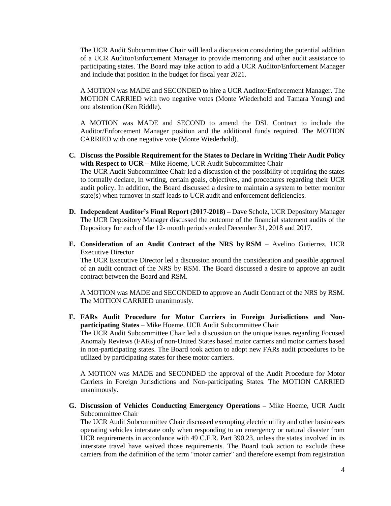The UCR Audit Subcommittee Chair will lead a discussion considering the potential addition of a UCR Auditor/Enforcement Manager to provide mentoring and other audit assistance to participating states. The Board may take action to add a UCR Auditor/Enforcement Manager and include that position in the budget for fiscal year 2021.

A MOTION was MADE and SECONDED to hire a UCR Auditor/Enforcement Manager. The MOTION CARRIED with two negative votes (Monte Wiederhold and Tamara Young) and one abstention (Ken Riddle).

A MOTION was MADE and SECOND to amend the DSL Contract to include the Auditor/Enforcement Manager position and the additional funds required. The MOTION CARRIED with one negative vote (Monte Wiederhold).

**C. Discuss the Possible Requirement for the States to Declare in Writing Their Audit Policy with Respect to UCR** – Mike Hoeme, UCR Audit Subcommittee Chair

The UCR Audit Subcommittee Chair led a discussion of the possibility of requiring the states to formally declare, in writing, certain goals, objectives, and procedures regarding their UCR audit policy. In addition, the Board discussed a desire to maintain a system to better monitor  $state(s)$  when turnover in staff leads to UCR audit and enforcement deficiencies.

- **D. Independent Auditor's Final Report (2017-2018) –** Dave Scholz, UCR Depository Manager The UCR Depository Manager discussed the outcome of the financial statement audits of the Depository for each of the 12- month periods ended December 31, 2018 and 2017.
- **E. Consideration of an Audit Contract of the NRS by RSM** *–* Avelino Gutierrez, UCR Executive Director

The UCR Executive Director led a discussion around the consideration and possible approval of an audit contract of the NRS by RSM. The Board discussed a desire to approve an audit contract between the Board and RSM.

A MOTION was MADE and SECONDED to approve an Audit Contract of the NRS by RSM. The MOTION CARRIED unanimously.

**F. FARs Audit Procedure for Motor Carriers in Foreign Jurisdictions and Nonparticipating States** – Mike Hoeme, UCR Audit Subcommittee Chair The UCR Audit Subcommittee Chair led a discussion on the unique issues regarding Focused Anomaly Reviews (FARs) of non-United States based motor carriers and motor carriers based

in non-participating states. The Board took action to adopt new FARs audit procedures to be utilized by participating states for these motor carriers.

A MOTION was MADE and SECONDED the approval of the Audit Procedure for Motor Carriers in Foreign Jurisdictions and Non-participating States. The MOTION CARRIED unanimously.

**G. Discussion of Vehicles Conducting Emergency Operations –** Mike Hoeme, UCR Audit Subcommittee Chair

The UCR Audit Subcommittee Chair discussed exempting electric utility and other businesses operating vehicles interstate only when responding to an emergency or natural disaster from UCR requirements in accordance with 49 C.F.R. Part 390.23, unless the states involved in its interstate travel have waived those requirements. The Board took action to exclude these carriers from the definition of the term "motor carrier" and therefore exempt from registration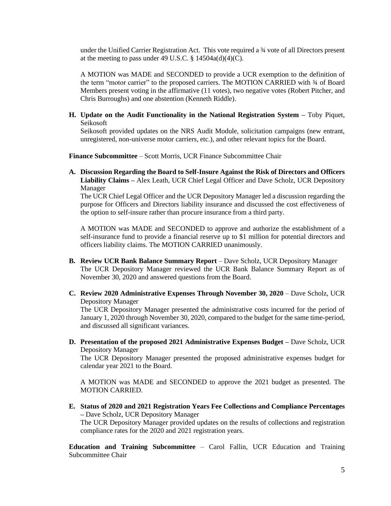under the Unified Carrier Registration Act. This vote required a ¾ vote of all Directors present at the meeting to pass under 49 U.S.C.  $\S$  14504a(d)(4)(C).

A MOTION was MADE and SECONDED to provide a UCR exemption to the definition of the term "motor carrier" to the proposed carriers. The MOTION CARRIED with  $\frac{3}{4}$  of Board Members present voting in the affirmative (11 votes), two negative votes (Robert Pitcher, and Chris Burroughs) and one abstention (Kenneth Riddle).

**H. Update on the Audit Functionality in the National Registration System –** Toby Piquet, Seikosoft

Seikosoft provided updates on the NRS Audit Module, solicitation campaigns (new entrant, unregistered, non-universe motor carriers, etc.), and other relevant topics for the Board.

**Finance Subcommittee** – Scott Morris, UCR Finance Subcommittee Chair

**A. Discussion Regarding the Board to Self-Insure Against the Risk of Directors and Officers Liability Claims –** Alex Leath, UCR Chief Legal Officer and Dave Scholz, UCR Depository Manager

The UCR Chief Legal Officer and the UCR Depository Manager led a discussion regarding the purpose for Officers and Directors liability insurance and discussed the cost effectiveness of the option to self-insure rather than procure insurance from a third party.

A MOTION was MADE and SECONDED to approve and authorize the establishment of a self-insurance fund to provide a financial reserve up to \$1 million for potential directors and officers liability claims. The MOTION CARRIED unanimously.

- **B. Review UCR Bank Balance Summary Report**  Dave Scholz, UCR Depository Manager The UCR Depository Manager reviewed the UCR Bank Balance Summary Report as of November 30, 2020 and answered questions from the Board.
- **C. Review 2020 Administrative Expenses Through November 30, 2020** Dave Scholz, UCR Depository Manager

The UCR Depository Manager presented the administrative costs incurred for the period of January 1, 2020 through November 30, 2020, compared to the budget for the same time-period, and discussed all significant variances.

**D. Presentation of the proposed 2021 Administrative Expenses Budget –** Dave Scholz, UCR Depository Manager

The UCR Depository Manager presented the proposed administrative expenses budget for calendar year 2021 to the Board.

A MOTION was MADE and SECONDED to approve the 2021 budget as presented. The MOTION CARRIED.

**E. Status of 2020 and 2021 Registration Years Fee Collections and Compliance Percentages –** Dave Scholz, UCR Depository Manager

The UCR Depository Manager provided updates on the results of collections and registration compliance rates for the 2020 and 2021 registration years.

**Education and Training Subcommittee** – Carol Fallin, UCR Education and Training Subcommittee Chair